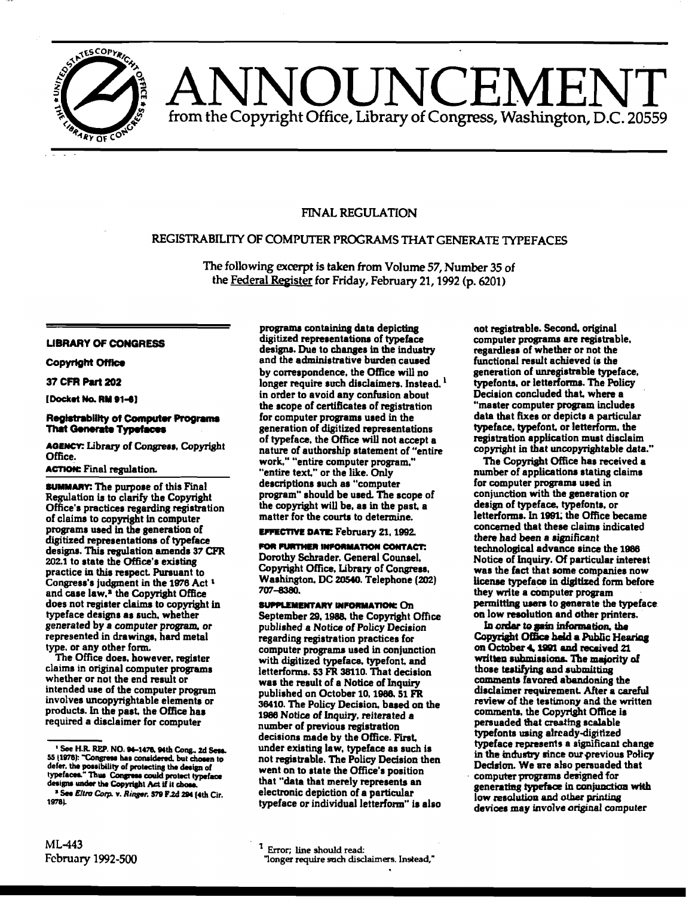

# OUNCEMI from the Copyright Office, Library of Congress, Washington, D.C. 20559

# **FINAL REGULATION**

# REGISTRABILITY OF COMPUTER PROGRAMS THAT GENERATE TYPEFACES

The following excerpt is taken from Volume 57, Number 35 of the Federal Register for Friday, February 21, 1992 (p. 6201)

# **LIBRARY OF CONGRESS**

#### **Copyright Office**

### 37 CFR Part 202

[Docket No. RM 91-6]

#### **Registrability of Computer Programs That Generate Typefaces**

AGENCY: Library of Congress, Copyright Office.

## **ACTION: Final regulation.**

**SUMMARY:** The purpose of this Final Regulation is to clarify the Copyright Office's practices regarding registration of claims to copyright in computer programs used in the generation of digitized representations of typeface designs. This regulation amends 37 CFR 202.1 to state the Office's existing practice in this respect. Pursuant to Congress's judgment in the 1976 Act 1 and case law,<sup>2</sup> the Copyright Office does not register claims to copyright in typeface designs as such, whether generated by a computer program, or represented in drawings, hard metal type, or any other form.

The Office does, however, register claims in original computer programs whether or not the end result or intended use of the computer program involves uncopyrightable elements or products. In the past, the Office has required a disclaimer for computer

programs containing data depicting digitized representations of typeface designs. Due to changes in the industry and the administrative burden caused by correspondence, the Office will no longer require such disclaimers. Instead.<sup>1</sup> in order to avoid any confusion about the scope of certificates of registration for computer programs used in the generation of digitized representations of typeface, the Office will not accept a nature of authorship statement of "entire work." "entire computer program." "entire text," or the like. Only descriptions such as "computer program" should be used. The scope of the copyright will be, as in the past, a matter for the courts to determine.

**EFFECTIVE DATE: February 21, 1992.** 

FOR FURTHER INFORMATION CONTACT: Dorothy Schrader, General Counsel. Copyright Office, Library of Congress, Washington, DC 20540. Telephone (202) 707-8380.

**SUPPLEMENTARY INFORMATION: On** September 29, 1988, the Copyright Office published a Notice of Policy Decision regarding registration practices for computer programs used in conjunction with digitized typeface, typefont, and letterforms. 53 FR 38110. That decision was the result of a Notice of Inquiry published on October 10, 1988. 51 FR 36410. The Policy Decision, based on the 1986 Notice of Inquiry, reiterated a number of previous registration decisions made by the Office. First, under existing law, typeface as such is not registrable. The Policy Decision then went on to state the Office's position that "data that merely represents an electronic depiction of a particular typeface or individual letterform" is also not registrable. Second, original computer programs are registrable, regardless of whether or not the functional result achieved is the generation of unregistrable typeface. typefonts, or letterforms. The Policy Decision concluded that, where a "master computer program includes data that fixes or depicts a particular typeface, typefont, or letterform, the registration application must disclaim copyright in that uncopyrightable data."

The Copyright Office has received a number of applications stating claims for computer programs used in conjunction with the generation or design of typeface, typefonts. or letterforms. In 1991, the Office became concerned that these claims indicated there had been a significant technological advance since the 1986 Notice of Inquiry. Of particular interest was the fact that some companies now license typeface in digitized form before they write a computer program permitting users to generate the typeface. on low resolution and other printers.

In order to gain information, the Copyright Office held a Public Hearing on October 4, 1991 and recaived 21 written submissions. The majority of those testifying and submitting comments favored abandoning the disclaimer requirement. After a careful review of the testimony and the written comments, the Copyright Office is persuaded that creating scalable typefonts using already-digitized typeface represents a significant change in the industry since our previous Policy Decision. We are also persuaded that computer programs designed for generating typeface in conjunction with low resolution and other printing devices may involve original computer

 $1$  Error; line should read: "longer require such disclaimers. Instead,"

<sup>&</sup>lt;sup>1</sup> See H.R. REP. NO. 94-1476, 94th Cong., 2d Sess. 55 (1976): "Congress has considered, but chosen to defer, the possibility of protecting the design of typefaces." Thus Congress could protect typeface designs under the Copyright Act if it chos <sup>3</sup> See Eltra Corp. v. Ringer. 579 F.2d 294 (4th Cir.

<sup>1978).</sup>